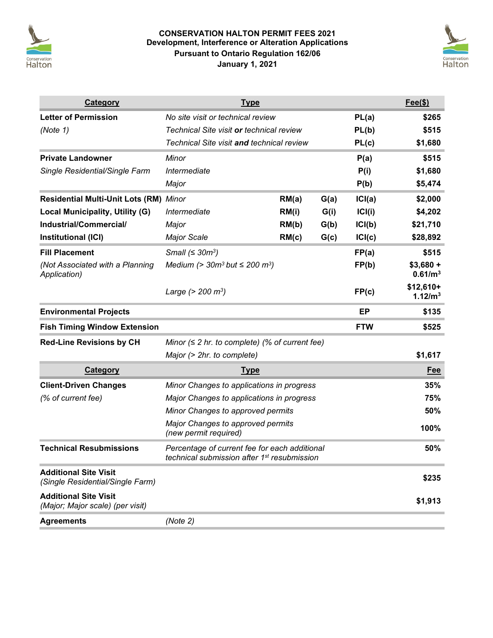

# **CONSERVATION HALTON PERMIT FEES 2021 Development, Interference or Alteration Applications Pursuant to Ontario Regulation 162/06 January 1, 2021**



| Category                                                         | <b>Type</b>                                                                                              |       |      |            | $Fee(\$))$                        |
|------------------------------------------------------------------|----------------------------------------------------------------------------------------------------------|-------|------|------------|-----------------------------------|
| <b>Letter of Permission</b>                                      | No site visit or technical review                                                                        |       |      | PL(a)      | \$265                             |
| (Note 1)                                                         | Technical Site visit <b>or</b> technical review                                                          |       |      | PL(b)      | \$515                             |
|                                                                  | Technical Site visit and technical review                                                                |       |      | PL(c)      | \$1,680                           |
| <b>Private Landowner</b>                                         | Minor                                                                                                    |       |      | P(a)       | \$515                             |
| Single Residential/Single Farm                                   | Intermediate                                                                                             |       |      | P(i)       | \$1,680                           |
|                                                                  | Major                                                                                                    |       |      | P(b)       | \$5,474                           |
| Residential Multi-Unit Lots (RM) Minor                           |                                                                                                          | RM(a) | G(a) | ICI(a)     | \$2,000                           |
| <b>Local Municipality, Utility (G)</b>                           | Intermediate                                                                                             | RM(i) | G(i) | ICI(i)     | \$4,202                           |
| Industrial/Commercial/                                           | Major                                                                                                    | RM(b) | G(b) | ICI(b)     | \$21,710                          |
| Institutional (ICI)                                              | <b>Major Scale</b>                                                                                       | RM(c) | G(c) | ICI(c)     | \$28,892                          |
| <b>Fill Placement</b>                                            | Small $( \leq 30 m^3 )$                                                                                  |       |      | FP(a)      | \$515                             |
| (Not Associated with a Planning<br>Application)                  | Medium (> $30m^3$ but $\leq 200 m^3$ )                                                                   |       |      | FP(b)      | $$3,680 +$<br>0.61/m <sup>3</sup> |
|                                                                  | Large $(> 200 \text{ m}^3)$                                                                              |       |      | FP(c)      | $$12,610+$<br>1.12/m <sup>3</sup> |
| <b>Environmental Projects</b>                                    |                                                                                                          |       |      | EP         | \$135                             |
| <b>Fish Timing Window Extension</b>                              |                                                                                                          |       |      | <b>FTW</b> | \$525                             |
| <b>Red-Line Revisions by CH</b>                                  | Minor $( \leq 2$ hr. to complete) (% of current fee)                                                     |       |      |            |                                   |
|                                                                  | Major (> 2hr. to complete)                                                                               |       |      |            | \$1,617                           |
| Category                                                         | <b>Type</b>                                                                                              |       |      |            |                                   |
| <b>Client-Driven Changes</b>                                     | Minor Changes to applications in progress                                                                |       |      |            | 35%                               |
| (% of current fee)                                               | Major Changes to applications in progress                                                                |       | 75%  |            |                                   |
|                                                                  | Minor Changes to approved permits                                                                        |       | 50%  |            |                                   |
|                                                                  | Major Changes to approved permits<br>(new permit required)                                               |       | 100% |            |                                   |
| <b>Technical Resubmissions</b>                                   | Percentage of current fee for each additional<br>technical submission after 1 <sup>st</sup> resubmission |       |      |            | 50%                               |
| <b>Additional Site Visit</b><br>(Single Residential/Single Farm) |                                                                                                          |       |      |            | \$235                             |
| <b>Additional Site Visit</b><br>(Major; Major scale) (per visit) |                                                                                                          |       |      |            | \$1,913                           |
| <b>Agreements</b>                                                | (Note 2)                                                                                                 |       |      |            |                                   |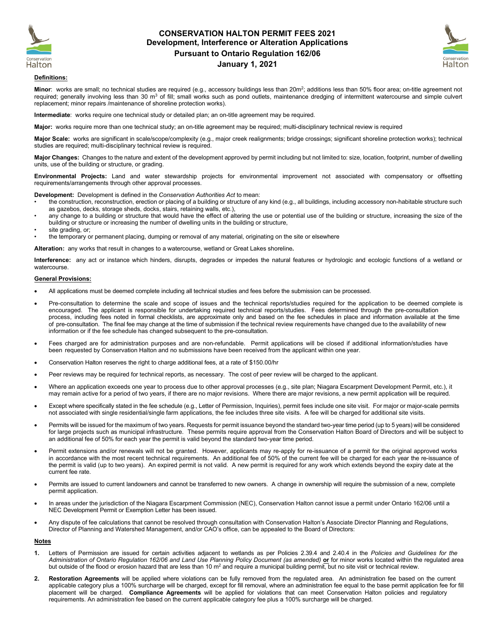

### **CONSERVATION HALTON PERMIT FEES 2021 Development, Interference or Alteration Applications Pursuant to Ontario Regulation 162/06 January 1, 2021**



#### **Definitions:**

Minor: works are small; no technical studies are required (e.g., accessory buildings less than 20m<sup>2</sup>; additions less than 50% floor area; on-title agreement not required; generally involving less than 30 m<sup>3</sup> of fill; small works such as pond outlets, maintenance dredging of intermittent watercourse and simple culvert replacement; minor repairs /maintenance of shoreline protection works).

**Intermediate**: works require one technical study or detailed plan; an on-title agreement may be required.

**Major:** works require more than one technical study; an on-title agreement may be required; multi-disciplinary technical review is required

**Major Scale:** works are significant in scale/scope/complexity (e.g., major creek realignments; bridge crossings; significant shoreline protection works); technical studies are required; multi-disciplinary technical review is required.

**Major Changes:** Changes to the nature and extent of the development approved by permit including but not limited to: size, location, footprint, number of dwelling units, use of the building or structure, or grading.

**Environmental Projects:** Land and water stewardship projects for environmental improvement not associated with compensatory or offsetting requirements/arrangements through other approval processes.

**Development:** Development is defined in the *Conservation Authorities Act* to mean:

- the construction, reconstruction, erection or placing of a building or structure of any kind (e.g., all buildings, including accessory non-habitable structure such as gazebos, decks, storage sheds, docks, stairs, retaining walls, etc.),
- any change to a building or structure that would have the effect of altering the use or potential use of the building or structure, increasing the size of the building or structure or increasing the number of dwelling units in the building or structure,
- site grading, or;
- the temporary or permanent placing, dumping or removal of any material, originating on the site or elsewhere

**Alteration:** any works that result in changes to a watercourse, wetland or Great Lakes shoreline**.**

**Interference:** any act or instance which hinders, disrupts, degrades or impedes the natural features or hydrologic and ecologic functions of a wetland or watercourse.

### **General Provisions:**

- All applications must be deemed complete including all technical studies and fees before the submission can be processed.
- Pre-consultation to determine the scale and scope of issues and the technical reports/studies required for the application to be deemed complete is encouraged. The applicant is responsible for undertaking required technical reports/studies. Fees determined through the pre-consultation process, including fees noted in formal checklists, are approximate only and based on the fee schedules in place and information available at the time of pre-consultation. The final fee may change at the time of submission if the technical review requirements have changed due to the availability of new information or if the fee schedule has changed subsequent to the pre-consultation.
- Fees charged are for administration purposes and are non-refundable. Permit applications will be closed if additional information/studies have been requested by Conservation Halton and no submissions have been received from the applicant within one year.
- Conservation Halton reserves the right to charge additional fees, at a rate of \$150.00/hr
- Peer reviews may be required for technical reports, as necessary. The cost of peer review will be charged to the applicant.
- Where an application exceeds one year to process due to other approval processes (e.g., site plan; Niagara Escarpment Development Permit, etc.), it may remain active for a period of two years, if there are no major revisions. Where there are major revisions, a new permit application will be required.
- Except where specifically stated in the fee schedule (e.g., Letter of Permission, Inquiries), permit fees include one site visit. For major or major-scale permits not associated with single residential/single farm applications, the fee includes three site visits. A fee will be charged for additional site visits.
- Permits will be issued for the maximum of two years. Requests for permit issuance beyond the standard two-year time period (up to 5 years) will be considered for large projects such as municipal infrastructure. These permits require approval from the Conservation Halton Board of Directors and will be subject to an additional fee of 50% for each year the permit is valid beyond the standard two-year time period.
- Permit extensions and/or renewals will not be granted. However, applicants may re-apply for re-issuance of a permit for the original approved works in accordance with the most recent technical requirements. An additional fee of 50% of the current fee will be charged for each year the re-issuance of the permit is valid (up to two years). An expired permit is not valid. A new permit is required for any work which extends beyond the expiry date at the current fee rate.
- Permits are issued to current landowners and cannot be transferred to new owners. A change in ownership will require the submission of a new, complete permit application.
- In areas under the jurisdiction of the Niagara Escarpment Commission (NEC), Conservation Halton cannot issue a permit under Ontario 162/06 until a NEC Development Permit or Exemption Letter has been issued.
- Any dispute of fee calculations that cannot be resolved through consultation with Conservation Halton's Associate Director Planning and Regulations, Director of Planning and Watershed Management, and/or CAO's office, can be appealed to the Board of Directors:

#### **Notes**

- **1.** Letters of Permission are issued for certain activities adjacent to wetlands as per Policies 2.39.4 and 2.40.4 in the *Policies and Guidelines for the*  Administration of Ontario Regulation 162/06 and Land Use Planning Policy Document (as amended) or for minor works located within the regulated area but outside of the flood or erosion hazard that are less than 10  $m<sup>2</sup>$  and require a municipal building permit, but no site visit or technical review.
- **2. Restoration Agreements** will be applied where violations can be fully removed from the regulated area. An administration fee based on the current applicable category plus a 100% surcharge will be charged, except for fill removal, where an administration fee equal to the base permit application fee for fill placement will be charged. **Compliance Agreements** will be applied for violations that can meet Conservation Halton policies and regulatory requirements. An administration fee based on the current applicable category fee plus a 100% surcharge will be charged.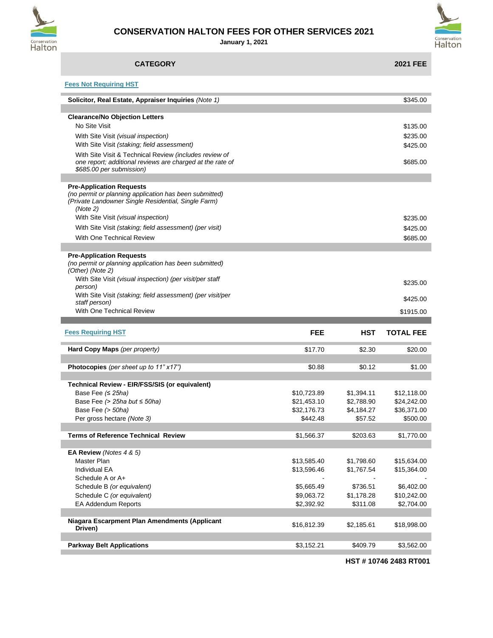

# **CONSERVATION HALTON FEES FOR OTHER SERVICES 2021**

**January 1, 2021**



| <b>CATEGORY</b>                                                                                                                                              |             |            | <b>2021 FEE</b>  |
|--------------------------------------------------------------------------------------------------------------------------------------------------------------|-------------|------------|------------------|
| <b>Fees Not Requiring HST</b>                                                                                                                                |             |            |                  |
| Solicitor, Real Estate, Appraiser Inquiries (Note 1)                                                                                                         |             |            | \$345.00         |
| <b>Clearance/No Objection Letters</b>                                                                                                                        |             |            |                  |
| No Site Visit                                                                                                                                                |             |            | \$135.00         |
| With Site Visit (visual inspection)<br>With Site Visit (staking; field assessment)                                                                           |             |            | \$235.00         |
| With Site Visit & Technical Review (includes review of                                                                                                       |             |            | \$425.00         |
| one report; additional reviews are charged at the rate of<br>\$685.00 per submission)                                                                        |             |            | \$685.00         |
|                                                                                                                                                              |             |            |                  |
| <b>Pre-Application Requests</b><br>(no permit or planning application has been submitted)<br>(Private Landowner Single Residential, Single Farm)<br>(Note 2) |             |            |                  |
| With Site Visit (visual inspection)                                                                                                                          |             |            | \$235.00         |
| With Site Visit (staking; field assessment) (per visit)                                                                                                      |             |            | \$425.00         |
| With One Technical Review                                                                                                                                    |             |            | \$685.00         |
|                                                                                                                                                              |             |            |                  |
| <b>Pre-Application Requests</b><br>(no permit or planning application has been submitted)<br>(Other) (Note 2)                                                |             |            |                  |
| With Site Visit (visual inspection) (per visit/per staff<br>person)                                                                                          |             |            | \$235.00         |
| With Site Visit (staking; field assessment) (per visit/per<br>staff person)                                                                                  |             |            | \$425.00         |
| With One Technical Review                                                                                                                                    |             |            | \$1915.00        |
|                                                                                                                                                              |             |            |                  |
| <b>Fees Requiring HST</b>                                                                                                                                    | <b>FEE</b>  | <b>HST</b> | <b>TOTAL FEE</b> |
| Hard Copy Maps (per property)                                                                                                                                | \$17.70     | \$2.30     | \$20.00          |
| Photocopies (per sheet up to 11" x17")                                                                                                                       | \$0.88      | \$0.12     | \$1.00           |
| Technical Review - EIR/FSS/SIS (or equivalent)                                                                                                               |             |            |                  |
| Base Fee $( \leq 25ha )$                                                                                                                                     | \$10,723.89 | \$1,394.11 | \$12,118.00      |
| Base Fee (> 25ha but $\leq$ 50ha)                                                                                                                            | \$21,453.10 | \$2,788.90 | \$24,242.00      |
| Base Fee (> 50ha)                                                                                                                                            | \$32,176.73 | \$4,184.27 | \$36,371.00      |
| Per gross hectare (Note 3)                                                                                                                                   | \$442.48    | \$57.52    | \$500.00         |
| <b>Terms of Reference Technical Review</b>                                                                                                                   | \$1,566.37  | \$203.63   | \$1,770.00       |
|                                                                                                                                                              |             |            |                  |
| EA Review (Notes 4 & 5)                                                                                                                                      |             |            |                  |
| Master Plan                                                                                                                                                  | \$13,585.40 | \$1,798.60 | \$15,634.00      |
|                                                                                                                                                              |             |            | \$15,364.00      |
| Individual EA                                                                                                                                                | \$13,596.46 | \$1,767.54 |                  |
| Schedule A or A+                                                                                                                                             |             |            |                  |
| Schedule B (or equivalent)                                                                                                                                   | \$5,665.49  | \$736.51   | \$6,402.00       |
| Schedule C (or equivalent)                                                                                                                                   | \$9,063.72  | \$1,178.28 | \$10,242.00      |
| EA Addendum Reports                                                                                                                                          | \$2,392.92  | \$311.08   | \$2,704.00       |
|                                                                                                                                                              |             |            |                  |
| Niagara Escarpment Plan Amendments (Applicant<br>Driven)                                                                                                     | \$16,812.39 | \$2,185.61 | \$18,998.00      |

**HST # 10746 2483 RT001**